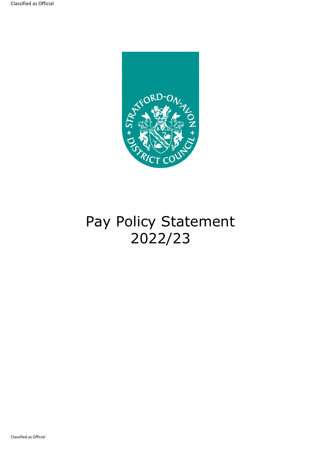

# Pay Policy Statement 2022/23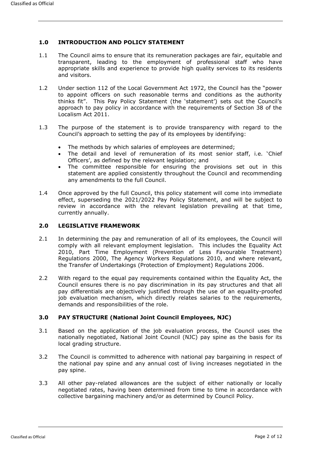# **1.0 INTRODUCTION AND POLICY STATEMENT**

- 1.1 The Council aims to ensure that its remuneration packages are fair, equitable and transparent, leading to the employment of professional staff who have appropriate skills and experience to provide high quality services to its residents and visitors.
- 1.2 Under section 112 of the Local Government Act 1972, the Council has the "power to appoint officers on such reasonable terms and conditions as the authority thinks fit". This Pay Policy Statement (the 'statement') sets out the Council's approach to pay policy in accordance with the requirements of Section 38 of the Localism Act 2011.
- 1.3 The purpose of the statement is to provide transparency with regard to the Council's approach to setting the pay of its employees by identifying:
	- The methods by which salaries of employees are determined;
	- The detail and level of remuneration of its most senior staff, i.e. 'Chief Officers', as defined by the relevant legislation; and
	- The committee responsible for ensuring the provisions set out in this statement are applied consistently throughout the Council and recommending any amendments to the full Council.
- 1.4 Once approved by the full Council, this policy statement will come into immediate effect, superseding the 2021/2022 Pay Policy Statement, and will be subject to review in accordance with the relevant legislation prevailing at that time, currently annually.

## **2.0 LEGISLATIVE FRAMEWORK**

- 2.1 In determining the pay and remuneration of all of its employees, the Council will comply with all relevant employment legislation. This includes the Equality Act 2010, Part Time Employment (Prevention of Less Favourable Treatment) Regulations 2000, The Agency Workers Regulations 2010, and where relevant, the Transfer of Undertakings (Protection of Employment) Regulations 2006.
- 2.2 With regard to the equal pay requirements contained within the Equality Act, the Council ensures there is no pay discrimination in its pay structures and that all pay differentials are objectively justified through the use of an equality-proofed job evaluation mechanism, which directly relates salaries to the requirements, demands and responsibilities of the role.

## **3.0 PAY STRUCTURE (National Joint Council Employees, NJC)**

- 3.1 Based on the application of the job evaluation process, the Council uses the nationally negotiated, National Joint Council (NJC) pay spine as the basis for its local grading structure.
- 3.2 The Council is committed to adherence with national pay bargaining in respect of the national pay spine and any annual cost of living increases negotiated in the pay spine.
- 3.3 All other pay-related allowances are the subject of either nationally or locally negotiated rates, having been determined from time to time in accordance with collective bargaining machinery and/or as determined by Council Policy.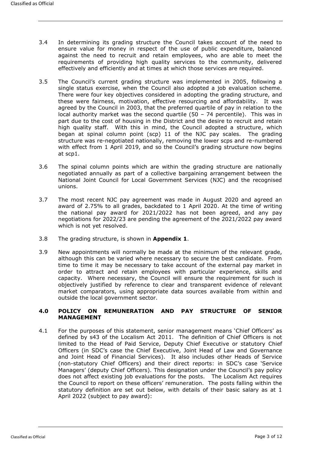- 3.4 In determining its grading structure the Council takes account of the need to ensure value for money in respect of the use of public expenditure, balanced against the need to recruit and retain employees, who are able to meet the requirements of providing high quality services to the community, delivered effectively and efficiently and at times at which those services are required.
- 3.5 The Council's current grading structure was implemented in 2005, following a single status exercise, when the Council also adopted a job evaluation scheme. There were four key objectives considered in adopting the grading structure, and these were fairness, motivation, effective resourcing and affordability. It was agreed by the Council in 2003, that the preferred quartile of pay in relation to the local authority market was the second quartile (50 – 74 percentile). This was in part due to the cost of housing in the District and the desire to recruit and retain high quality staff. With this in mind, the Council adopted a structure, which began at spinal column point (scp) 11 of the NJC pay scales. The grading structure was re-negotiated nationally, removing the lower scps and re-numbered with effect from 1 April 2019, and so the Council's grading structure now begins at scp1.
- 3.6 The spinal column points which are within the grading structure are nationally negotiated annually as part of a collective bargaining arrangement between the National Joint Council for Local Government Services (NJC) and the recognised unions.
- 3.7 The most recent NJC pay agreement was made in August 2020 and agreed an award of 2.75% to all grades, backdated to 1 April 2020. At the time of writing the national pay award for 2021/2022 has not been agreed, and any pay negotiations for 2022/23 are pending the agreement of the 2021/2022 pay award which is not yet resolved.
- 3.8 The grading structure, is shown in **Appendix 1**.
- 3.9 New appointments will normally be made at the minimum of the relevant grade, although this can be varied where necessary to secure the best candidate. From time to time it may be necessary to take account of the external pay market in order to attract and retain employees with particular experience, skills and capacity. Where necessary, the Council will ensure the requirement for such is objectively justified by reference to clear and transparent evidence of relevant market comparators, using appropriate data sources available from within and outside the local government sector.

## **4.0 POLICY ON REMUNERATION AND PAY STRUCTURE OF SENIOR MANAGEMENT**

4.1 For the purposes of this statement, senior management means 'Chief Officers' as defined by s43 of the Localism Act 2011. The definition of Chief Officers is not limited to the Head of Paid Service, Deputy Chief Executive or statutory Chief Officers (in SDC's case the Chief Executive, Joint Head of Law and Governance and Joint Head of Financial Services). It also includes other Heads of Service (non-statutory Chief Officers) and their direct reports: in SDC's case 'Service Managers' (deputy Chief Officers). This designation under the Council's pay policy does not affect existing job evaluations for the posts. The Localism Act requires the Council to report on these officers' remuneration. The posts falling within the statutory definition are set out below, with details of their basic salary as at 1 April 2022 (subject to pay award):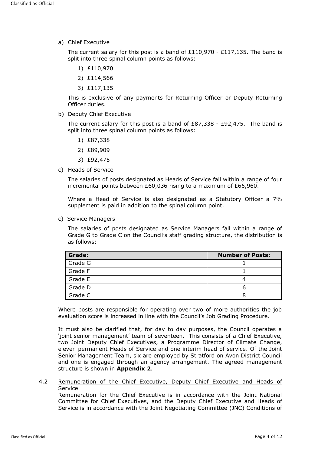a) Chief Executive

The current salary for this post is a band of  $£110,970 - £117,135$ . The band is split into three spinal column points as follows:

- 1) £110,970
- 2) £114,566
- 3) £117,135

This is exclusive of any payments for Returning Officer or Deputy Returning Officer duties.

b) Deputy Chief Executive

The current salary for this post is a band of  $£87,338 - £92,475$ . The band is split into three spinal column points as follows:

- 1) £87,338
- 2) £89,909
- 3) £92,475
- c) Heads of Service

The salaries of posts designated as Heads of Service fall within a range of four incremental points between £60,036 rising to a maximum of £66,960.

Where a Head of Service is also designated as a Statutory Officer a 7% supplement is paid in addition to the spinal column point.

c) Service Managers

The salaries of posts designated as Service Managers fall within a range of Grade G to Grade C on the Council's staff grading structure, the distribution is as follows:

| <b>Grade:</b> | <b>Number of Posts:</b> |
|---------------|-------------------------|
| Grade G       |                         |
| Grade F       |                         |
| Grade E       |                         |
| Grade D       |                         |
| Grade C       |                         |

Where posts are responsible for operating over two of more authorities the job evaluation score is increased in line with the Council's Job Grading Procedure.

It must also be clarified that, for day to day purposes, the Council operates a 'joint senior management' team of seventeen. This consists of a Chief Executive, two Joint Deputy Chief Executives, a Programme Director of Climate Change, eleven permanent Heads of Service and one interim head of service. Of the Joint Senior Management Team, six are employed by Stratford on Avon District Council and one is engaged through an agency arrangement. The agreed management structure is shown in **Appendix 2**.

4.2 Remuneration of the Chief Executive, Deputy Chief Executive and Heads of Service

Remuneration for the Chief Executive is in accordance with the Joint National Committee for Chief Executives, and the Deputy Chief Executive and Heads of Service is in accordance with the Joint Negotiating Committee (JNC) Conditions of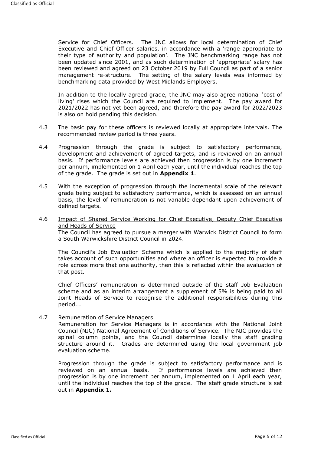Service for Chief Officers. The JNC allows for local determination of Chief Executive and Chief Officer salaries, in accordance with a 'range appropriate to their type of authority and population'. The JNC benchmarking range has not been updated since 2001, and as such determination of 'appropriate' salary has been reviewed and agreed on 23 October 2019 by Full Council as part of a senior management re-structure. The setting of the salary levels was informed by benchmarking data provided by West Midlands Employers.

In addition to the locally agreed grade, the JNC may also agree national 'cost of living' rises which the Council are required to implement. The pay award for 2021/2022 has not yet been agreed, and therefore the pay award for 2022/2023 is also on hold pending this decision.

- 4.3 The basic pay for these officers is reviewed locally at appropriate intervals. The recommended review period is three years.
- 4.4 Progression through the grade is subject to satisfactory performance, development and achievement of agreed targets, and is reviewed on an annual basis. If performance levels are achieved then progression is by one increment per annum, implemented on 1 April each year, until the individual reaches the top of the grade. The grade is set out in **Appendix 1**.
- 4.5 With the exception of progression through the incremental scale of the relevant grade being subject to satisfactory performance, which is assessed on an annual basis, the level of remuneration is not variable dependant upon achievement of defined targets.
- 4.6 Impact of Shared Service Working for Chief Executive, Deputy Chief Executive and Heads of Service The Council has agreed to pursue a merger with Warwick District Council to form a South Warwickshire District Council in 2024.

The Council's Job Evaluation Scheme which is applied to the majority of staff takes account of such opportunities and where an officer is expected to provide a role across more that one authority, then this is reflected within the evaluation of that post.

Chief Officers' remuneration is determined outside of the staff Job Evaluation scheme and as an interim arrangement a supplement of 5% is being paid to all Joint Heads of Service to recognise the additional responsibilities during this period...

4.7 Remuneration of Service Managers

Remuneration for Service Managers is in accordance with the National Joint Council (NJC) National Agreement of Conditions of Service. The NJC provides the spinal column points, and the Council determines locally the staff grading structure around it. Grades are determined using the local government job evaluation scheme.

Progression through the grade is subject to satisfactory performance and is reviewed on an annual basis. If performance levels are achieved then progression is by one increment per annum, implemented on 1 April each year, until the individual reaches the top of the grade. The staff grade structure is set out in **Appendix 1.**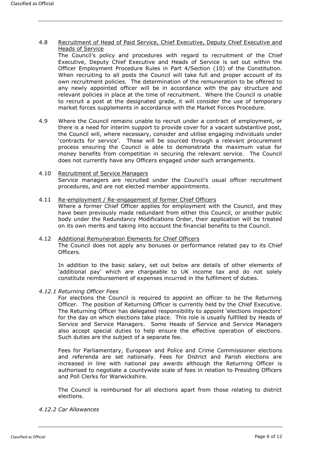4.8 Recruitment of Head of Paid Service, Chief Executive, Deputy Chief Executive and Heads of Service

The Council's policy and procedures with regard to recruitment of the Chief Executive, Deputy Chief Executive and Heads of Service is set out within the Officer Employment Procedure Rules in Part 4/Section (10) of the Constitution. When recruiting to all posts the Council will take full and proper account of its own recruitment policies. The determination of the remuneration to be offered to any newly appointed officer will be in accordance with the pay structure and relevant policies in place at the time of recruitment. Where the Council is unable to recruit a post at the designated grade, it will consider the use of temporary market forces supplements in accordance with the Market Forces Procedure.

4.9 Where the Council remains unable to recruit under a contract of employment, or there is a need for interim support to provide cover for a vacant substantive post, the Council will, where necessary, consider and utilise engaging individuals under 'contracts for service'. These will be sourced through a relevant procurement process ensuring the Council is able to demonstrate the maximum value for money benefits from competition in securing the relevant service. The Council does not currently have any Officers engaged under such arrangements.

# 4.10 Recruitment of Service Managers Service managers are recruited under the Council's usual officer recruitment

procedures, and are not elected member appointments. 4.11 Re-employment / Re-engagement of former Chief Officers

Where a former Chief Officer applies for employment with the Council, and they have been previously made redundant from either this Council, or another public body under the Redundancy Modifications Order, their application will be treated on its own merits and taking into account the financial benefits to the Council.

### 4.12 Additional Remuneration Elements for Chief Officers The Council does not apply any bonuses or performance related pay to its Chief Officers.

In addition to the basic salary, set out below are details of other elements of 'additional pay' which are chargeable to UK income tax and do not solely constitute reimbursement of expenses incurred in the fulfilment of duties.

## *4.12.1 Returning Officer Fees*

For elections the Council is required to appoint an officer to be the Returning Officer. The position of Returning Officer is currently held by the Chief Executive. The Returning Officer has delegated responsibility to appoint 'elections inspectors' for the day on which elections take place. This role is usually fulfilled by Heads of Service and Service Managers. Some Heads of Service and Service Managers also accept special duties to help ensure the effective operation of elections. Such duties are the subject of a separate fee.

Fees for Parliamentary, European and Police and Crime Commissioner elections and referenda are set nationally. Fees for District and Parish elections are increased in line with national pay awards although the Returning Officer is authorised to negotiate a countywide scale of fees in relation to Presiding Officers and Poll Clerks for Warwickshire.

The Council is reimbursed for all elections apart from those relating to district elections.

## *4.12.2 Car Allowances*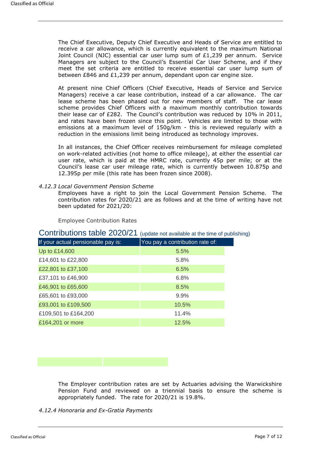The Chief Executive, Deputy Chief Executive and Heads of Service are entitled to receive a car allowance, which is currently equivalent to the maximum National Joint Council (NJC) essential car user lump sum of  $E1,239$  per annum. Service Managers are subject to the Council's Essential Car User Scheme, and if they meet the set criteria are entitled to receive essential car user lump sum of between £846 and £1,239 per annum, dependant upon car engine size.

At present nine Chief Officers (Chief Executive, Heads of Service and Service Managers) receive a car lease contribution, instead of a car allowance. The car lease scheme has been phased out for new members of staff. The car lease scheme provides Chief Officers with a maximum monthly contribution towards their lease car of £282. The Council's contribution was reduced by 10% in 2011, and rates have been frozen since this point. Vehicles are limited to those with emissions at a maximum level of 150g/km - this is reviewed regularly with a reduction in the emissions limit being introduced as technology improves.

In all instances, the Chief Officer receives reimbursement for mileage completed on work-related activities (not home to office mileage), at either the essential car user rate, which is paid at the HMRC rate, currently 45p per mile; or at the Council's lease car user mileage rate, which is currently between 10.875p and 12.395p per mile (this rate has been frozen since 2008).

*4.12.3 Local Government Pension Scheme*

Employees have a right to join the Local Government Pension Scheme. The contribution rates for 2020/21 are as follows and at the time of writing have not been updated for 2021/20:

Employee Contribution Rates

| Contributions table 2020/21 (update not available at the time of publishing) |  |  |
|------------------------------------------------------------------------------|--|--|
|------------------------------------------------------------------------------|--|--|

| If your actual pensionable pay is: | You pay a contribution rate of: |
|------------------------------------|---------------------------------|
| Up to £14,600                      | 5.5%                            |
| £14,601 to £22,800                 | 5.8%                            |
| £22,801 to £37,100                 | 6.5%                            |
| £37,101 to £46,900                 | 6.8%                            |
| £46,901 to £65,600                 | 8.5%                            |
| £65,601 to £93,000                 | 9.9%                            |
| £93,001 to £109,500                | 10.5%                           |
| £109,501 to £164,200               | 11.4%                           |
| £164,201 or more                   | 12.5%                           |

The Employer contribution rates are set by Actuaries advising the Warwickshire Pension Fund and reviewed on a triennial basis to ensure the scheme is appropriately funded. The rate for 2020/21 is 19.8%.

*4.12.4 Honoraria and Ex-Gratia Payments*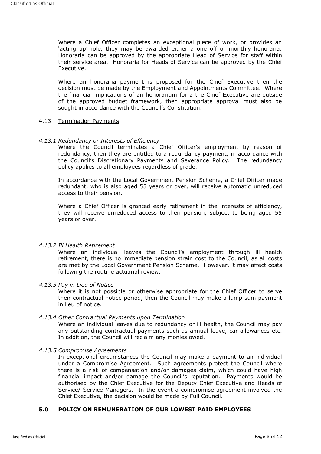Where a Chief Officer completes an exceptional piece of work, or provides an 'acting up' role, they may be awarded either a one off or monthly honoraria. Honoraria can be approved by the appropriate Head of Service for staff within their service area. Honoraria for Heads of Service can be approved by the Chief Executive.

Where an honoraria payment is proposed for the Chief Executive then the decision must be made by the Employment and Appointments Committee. Where the financial implications of an honorarium for a the Chief Executive are outside of the approved budget framework, then appropriate approval must also be sought in accordance with the Council's Constitution.

#### 4.13 Termination Payments

## *4.13.1 Redundancy or Interests of Efficiency*

Where the Council terminates a Chief Officer's employment by reason of redundancy, then they are entitled to a redundancy payment, in accordance with the Council's Discretionary Payments and Severance Policy. The redundancy policy applies to all employees regardless of grade.

In accordance with the Local Government Pension Scheme, a Chief Officer made redundant, who is also aged 55 years or over, will receive automatic unreduced access to their pension.

Where a Chief Officer is granted early retirement in the interests of efficiency, they will receive unreduced access to their pension, subject to being aged 55 years or over.

## *4.13.2 Ill Health Retirement*

Where an individual leaves the Council's employment through ill health retirement, there is no immediate pension strain cost to the Council, as all costs are met by the Local Government Pension Scheme. However, it may affect costs following the routine actuarial review.

#### *4.13.3 Pay in Lieu of Notice*

Where it is not possible or otherwise appropriate for the Chief Officer to serve their contractual notice period, then the Council may make a lump sum payment in lieu of notice.

#### *4.13.4 Other Contractual Payments upon Termination*

Where an individual leaves due to redundancy or ill health, the Council may pay any outstanding contractual payments such as annual leave, car allowances etc. In addition, the Council will reclaim any monies owed.

#### *4.13.5 Compromise Agreements*

In exceptional circumstances the Council may make a payment to an individual under a Compromise Agreement. Such agreements protect the Council where there is a risk of compensation and/or damages claim, which could have high financial impact and/or damage the Council's reputation. Payments would be authorised by the Chief Executive for the Deputy Chief Executive and Heads of Service/ Service Managers. In the event a compromise agreement involved the Chief Executive, the decision would be made by Full Council.

## **5.0 POLICY ON REMUNERATION OF OUR LOWEST PAID EMPLOYEES**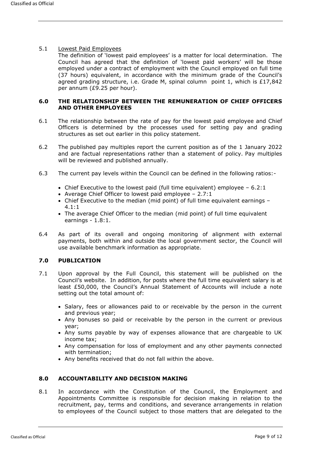## 5.1 Lowest Paid Employees

The definition of 'lowest paid employees' is a matter for local determination. The Council has agreed that the definition of 'lowest paid workers' will be those employed under a contract of employment with the Council employed on full time (37 hours) equivalent, in accordance with the minimum grade of the Council's agreed grading structure, i.e. Grade M, spinal column point 1, which is  $£17,842$ per annum (£9.25 per hour).

## **6.0 THE RELATIONSHIP BETWEEN THE REMUNERATION OF CHIEF OFFICERS AND OTHER EMPLOYEES**

- 6.1 The relationship between the rate of pay for the lowest paid employee and Chief Officers is determined by the processes used for setting pay and grading structures as set out earlier in this policy statement.
- 6.2 The published pay multiples report the current position as of the 1 January 2022 and are factual representations rather than a statement of policy. Pay multiples will be reviewed and published annually.
- 6.3 The current pay levels within the Council can be defined in the following ratios:-
	- Chief Executive to the lowest paid (full time equivalent) employee  $-6.2:1$
	- Average Chief Officer to lowest paid employee 2.7:1
	- Chief Executive to the median (mid point) of full time equivalent earnings 4.1:1
	- The average Chief Officer to the median (mid point) of full time equivalent earnings - 1.8:1.
- 6.4 As part of its overall and ongoing monitoring of alignment with external payments, both within and outside the local government sector, the Council will use available benchmark information as appropriate.

# **7.0 PUBLICATION**

- 7.1 Upon approval by the Full Council, this statement will be published on the Council's website. In addition, for posts where the full time equivalent salary is at least £50,000, the Council's Annual Statement of Accounts will include a note setting out the total amount of:
	- Salary, fees or allowances paid to or receivable by the person in the current and previous year;
	- Any bonuses so paid or receivable by the person in the current or previous year;
	- Any sums payable by way of expenses allowance that are chargeable to UK income tax;
	- Any compensation for loss of employment and any other payments connected with termination;
	- Any benefits received that do not fall within the above.

## **8.0 ACCOUNTABILITY AND DECISION MAKING**

8.1 In accordance with the Constitution of the Council, the Employment and Appointments Committee is responsible for decision making in relation to the recruitment, pay, terms and conditions, and severance arrangements in relation to employees of the Council subject to those matters that are delegated to the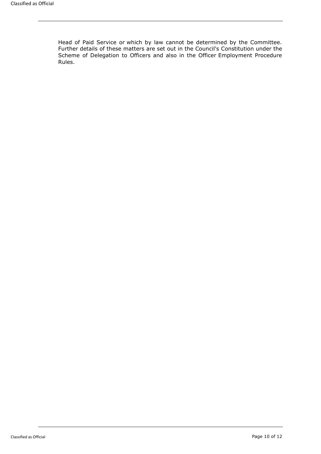Head of Paid Service or which by law cannot be determined by the Committee. Further details of these matters are set out in the Council's Constitution under the Scheme of Delegation to Officers and also in the Officer Employment Procedure Rules.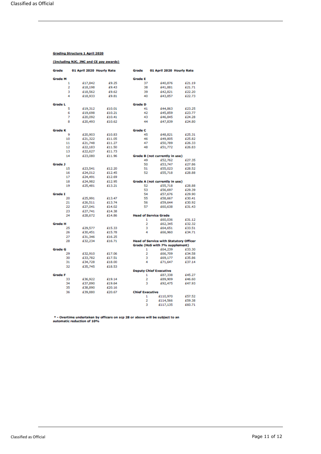#### **Grading Structure 1 April 2020**

#### (Including NJC, JNC and CE pay awards)

| Grade               | 01 April 2020 Hourly Rate |                  | Grade                  | 01 April 2020 Hourly Rate                     |                  |
|---------------------|---------------------------|------------------|------------------------|-----------------------------------------------|------------------|
| <b>Grade M</b>      |                           |                  | <b>Grade L</b>         |                                               |                  |
| 1                   | £17,842                   | £9.25            | 37                     | £40,876                                       | £21.19           |
| 2                   | £18,198                   | £9.43            | 38                     | £41,881                                       | £21.71           |
| 3                   | £18,562                   | £9.62            | 39                     | £42,821                                       | £22.20           |
| 4                   | £18,933                   | £9.81            | 40                     | £43,857                                       | £22.73           |
|                     |                           |                  |                        |                                               |                  |
| <b>Grade L</b>      |                           |                  | <b>Grade D</b>         |                                               |                  |
| 5                   | £19,312                   | £10.01           | 41                     | £44,863                                       | £23.25           |
| 6                   | £19,698                   | £10.21           | 42                     | £45,859                                       | £23.77           |
| 7                   | £20,092                   | £10.41           | 43                     | £46,845                                       | £24.28           |
| 8                   | £20,493                   | £10.62           | 44                     | £47,839                                       | £24.80           |
|                     |                           |                  |                        |                                               |                  |
| <b>Grade K</b><br>9 |                           |                  | <b>Grade C</b><br>45   |                                               |                  |
| 10                  | £20,903<br>£21,322        | £10.83           | 46                     | £48,821<br>£49,805                            | £25.31<br>£25.82 |
| 11                  | £21,748                   | £11.05<br>£11.27 | 47                     | £50,789                                       | £26.33           |
| 12                  | £22,183                   | £11.50           | 48                     | £51,772                                       | £26.83           |
| 13                  | £22,627                   | £11.73           |                        |                                               |                  |
| 14                  | £23,080                   | £11.96           |                        | Grade B (not currently in use)                |                  |
|                     |                           |                  | 49                     | £52,762                                       | £27.35           |
| Grade J             |                           |                  | 50                     | £53,747                                       | £27.86           |
| 15                  | £23,541                   | £12.20           | 51                     | £55,023                                       | £28.52           |
| 16                  | £24,012                   | £12.45           | 52                     | £55,718                                       | £28.88           |
| 17                  | £24,491                   | £12.69           |                        |                                               |                  |
| 18                  | £24,982                   | £12.95           |                        | Grade A (not currently in use)                |                  |
| 19                  | £25,481                   | £13.21           | 52                     | £55,718                                       | £28.88           |
|                     |                           |                  | 53                     | £56,697                                       | £29.39           |
| <b>Grade I</b>      |                           |                  | 54                     | £57,676                                       | £29.90           |
| 20                  | £25,991                   | £13.47           | 55                     | £58,667                                       | £30.41           |
| 21                  | £26,511                   | £13.74           | 56                     | £59,644                                       | £30.92           |
| 22                  | £27,041                   | £14.02           | 57                     | £60,638                                       | £31.43           |
| 23                  | £27,741                   | £14.38           |                        |                                               |                  |
| 24                  | £28,672                   | £14.86           |                        | <b>Head of Service Grade</b>                  |                  |
|                     |                           |                  |                        | 1<br>£60,036                                  | £31.12           |
| <b>Grade H</b>      |                           |                  |                        | 2<br>£62,345                                  | £32.32           |
| 25                  | £29,577                   | £15.33           |                        | 3<br>£64,651                                  | £33.51           |
| 26                  | £30,451                   | £15.78           | 4                      | £66,960                                       | £34.71           |
| 27                  | £31,346                   | £16.25           |                        |                                               |                  |
| 28                  | £32,234                   | £16.71           |                        | <b>Head of Service with Statutory Officer</b> |                  |
| <b>Grade G</b>      |                           |                  |                        | Grade (HoS with 7% supplement)<br>1           | £33.30           |
| 29                  | £32,910                   | £17.06           |                        | £64,239<br>$\overline{a}$<br>£66,709          | £34.58           |
| 30                  | £33,782                   | £17.51           | 3                      | £69,177                                       | £35.86           |
| 31                  | £34,728                   | £18.00           | 4                      | £71,647                                       | £37.14           |
| 32                  | £35,745                   | £18.53           |                        |                                               |                  |
|                     |                           |                  |                        | <b>Deputy Chief Executive</b>                 |                  |
| <b>Grade F</b>      |                           |                  |                        | 1<br>£87,338                                  | £45.27           |
| 33                  | £36,922                   | £19.14           |                        | $\overline{2}$<br>£89,909                     | £46.60           |
| 34                  | £37,890                   | £19.64           |                        | 3<br>£92,475                                  | £47.93           |
| 35                  | £38,890                   | £20.16           |                        |                                               |                  |
| 36                  | £39,880                   | £20.67           | <b>Chief Executive</b> |                                               |                  |
|                     |                           |                  |                        | 1<br>£110,970                                 | £57.52           |
|                     |                           |                  |                        | 2<br>£114,566                                 | £59.38           |
|                     |                           |                  | 3                      | £117,135                                      | £60.71           |
|                     |                           |                  |                        |                                               |                  |

\* - Overtime undertaken by officers on scp 28 or above will be subject to an automatic reduction of 10%